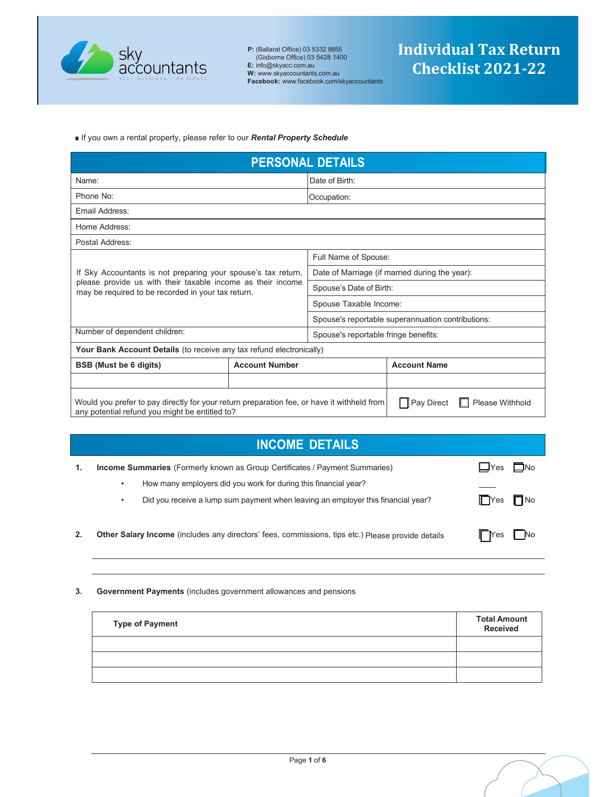

■ If you own a rental property, please refer to our *Rental Property Schedule*

| <b>PERSONAL DETAILS</b>                                                                                                                                                       |                       |                                                   |                     |
|-------------------------------------------------------------------------------------------------------------------------------------------------------------------------------|-----------------------|---------------------------------------------------|---------------------|
| Name:                                                                                                                                                                         |                       | Date of Birth:                                    |                     |
| Phone No:                                                                                                                                                                     |                       | Occupation:                                       |                     |
| Email Address:                                                                                                                                                                |                       |                                                   |                     |
| Home Address:                                                                                                                                                                 |                       |                                                   |                     |
| Postal Address:                                                                                                                                                               |                       |                                                   |                     |
| Full Name of Spouse:                                                                                                                                                          |                       |                                                   |                     |
| If Sky Accountants is not preparing your spouse's tax return,                                                                                                                 |                       | Date of Marriage (if married during the year):    |                     |
| please provide us with their taxable income as their income<br>may be required to be recorded in your tax return.                                                             |                       | Spouse's Date of Birth:                           |                     |
|                                                                                                                                                                               |                       | Spouse Taxable Income:                            |                     |
|                                                                                                                                                                               |                       | Spouse's reportable superannuation contributions: |                     |
| Number of dependent children:                                                                                                                                                 |                       | Spouse's reportable fringe benefits:              |                     |
| Your Bank Account Details (to receive any tax refund electronically)                                                                                                          |                       |                                                   |                     |
| <b>BSB</b> (Must be 6 digits)                                                                                                                                                 | <b>Account Number</b> |                                                   | <b>Account Name</b> |
|                                                                                                                                                                               |                       |                                                   |                     |
| Pay Direct<br>Would you prefer to pay directly for your return preparation fee, or have it withheld from<br>Please Withhold<br>any potential refund you might be entitled to? |                       |                                                   |                     |

|    | <b>INCOME DETAILS</b>                                                                                                                                      |                                 |
|----|------------------------------------------------------------------------------------------------------------------------------------------------------------|---------------------------------|
| 1. | <b>Income Summaries</b> (Formerly known as Group Certificates / Payment Summaries)<br>How many employers did you work for during this financial year?<br>٠ | $\square$ No<br>$\Box$ Yes      |
|    | Did you receive a lump sum payment when leaving an employer this financial year?<br>٠                                                                      | $\blacksquare$ Yes<br>$\Box$ No |
| 2. | Other Salary Income (includes any directors' fees, commissions, tips etc.) Please provide details                                                          | l No<br><b>II</b> Yes           |

**3. Government Payments** (includes government allowances and pensions

| <b>Type of Payment</b> | <b>Total Amount</b><br>Received |
|------------------------|---------------------------------|
|                        |                                 |
|                        |                                 |
|                        |                                 |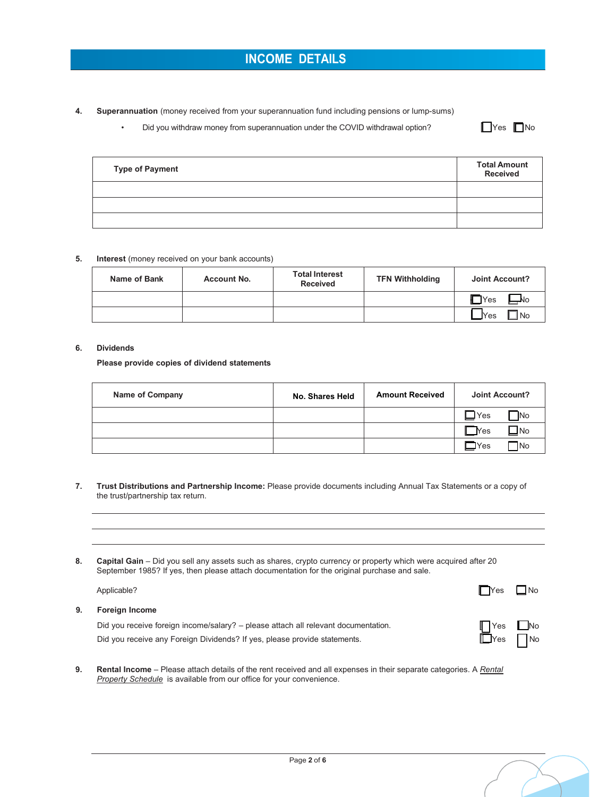**4. Superannuation** (money received from your superannuation fund including pensions or lump-sums)

• Did you withdraw money from superannuation under the COVID withdrawal option?

| -- | IN∩ |
|----|-----|
|----|-----|

| <b>Type of Payment</b> | <b>Total Amount</b><br>Received |
|------------------------|---------------------------------|
|                        |                                 |
|                        |                                 |
|                        |                                 |

## **5. Interest** (money received on your bank accounts)

| Name of Bank | <b>Account No.</b> | <b>Total Interest</b><br><b>Received</b> | <b>TFN Withholding</b> | Joint Account?           |
|--------------|--------------------|------------------------------------------|------------------------|--------------------------|
|              |                    |                                          |                        | $\blacksquare$ Yes<br>N٥ |
|              |                    |                                          |                        | l No<br><u>l</u> Yes     |

### **6. Dividends**

**Please provide copies of dividend statements**

| <b>Name of Company</b> | No. Shares Held | <b>Amount Received</b> | Joint Account?                |
|------------------------|-----------------|------------------------|-------------------------------|
|                        |                 |                        | No<br><b>Yes</b>              |
|                        |                 |                        | $\Box$ No<br><b>Yes</b>       |
|                        |                 |                        | <b>TNo</b><br>$\mathsf{IYes}$ |

- **7. Trust Distributions and Partnership Income:** Please provide documents including Annual Tax Statements or a copy of the trust/partnership tax return.
- **8. Capital Gain**  Did you sell any assets such as shares, crypto currency or property which were acquired after 20 September 1985? If yes, then please attach documentation for the original purchase and sale.

|    | Applicable?                                                                        | $\Gamma$ Yes                         | N <sub>o</sub> |
|----|------------------------------------------------------------------------------------|--------------------------------------|----------------|
| 9. | <b>Foreign Income</b>                                                              |                                      |                |
|    | Did you receive foreign income/salary? - please attach all relevant documentation. | $\blacksquare$ Yes $\blacksquare$ No |                |
|    | Did you receive any Foreign Dividends? If yes, please provide statements.          | $\Box$ Yes $\Box$ No                 |                |

**9. Rental Income** – Please attach details of the rent received and all expenses in their separate categories. A *Rental Property Schedule* is available from our office for your convenience.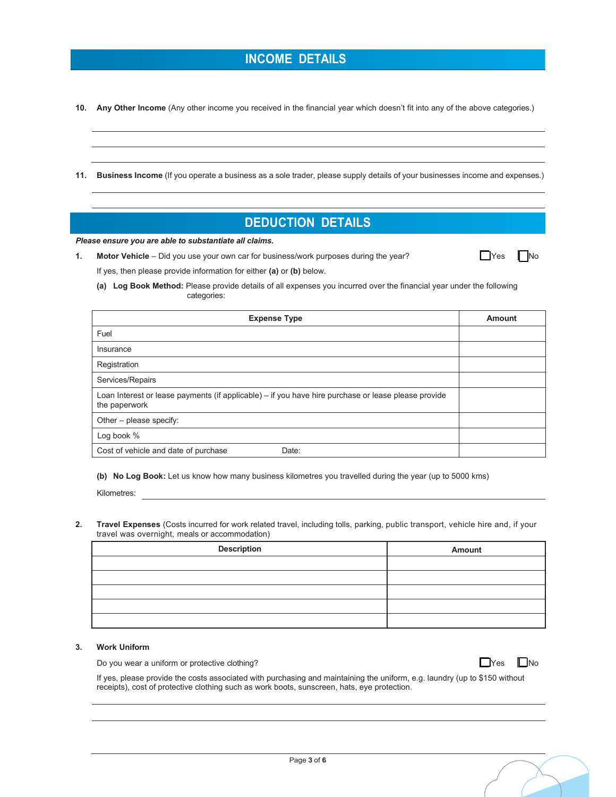## **INCOME DETAILS**

**10. Any Other Income** (Any other income you received in the financial year which doesn't fit into any of the above categories.)

**11. Business Income** (If you operate a business as a sole trader, please supply details of your businesses income and expenses.)

## **DEDUCTION DETAILS**

*Please ensure you are able to substantiate all claims.*

**1.** Motor Vehicle – Did you use your own car for business/work purposes during the year?  $\Box$  Yes  $\Box$  No If yes, then please provide information for either **(a)** or **(b)** below.

|  |  | IN. |
|--|--|-----|
|--|--|-----|

**(a) Log Book Method:** Please provide details of all expenses you incurred over the financial year under the following categories:

| <b>Expense Type</b>                                                                                                  | <b>Amount</b> |
|----------------------------------------------------------------------------------------------------------------------|---------------|
| Fuel                                                                                                                 |               |
| Insurance                                                                                                            |               |
| Registration                                                                                                         |               |
| Services/Repairs                                                                                                     |               |
| Loan Interest or lease payments (if applicable) - if you have hire purchase or lease please provide<br>the paperwork |               |
| Other – please specify:                                                                                              |               |
| Log book %                                                                                                           |               |
| Cost of vehicle and date of purchase<br>Date:                                                                        |               |

**(b) No Log Book:** Let us know how many business kilometres you travelled during the year (up to 5000 kms)

Kilometres:

**2. Travel Expenses** (Costs incurred for work related travel, including tolls, parking, public transport, vehicle hire and, if your travel was overnight, meals or accommodation)

| <b>Description</b> | Amount |
|--------------------|--------|
|                    |        |
|                    |        |
|                    |        |
|                    |        |
|                    |        |

### **3. Work Uniform**

Do you wear a uniform or protective clothing?

| I<br>IY<br>A |  | lNo |
|--------------|--|-----|
|--------------|--|-----|

If yes, please provide the costs associated with purchasing and maintaining the uniform, e.g. laundry (up to \$150 without receipts), cost of protective clothing such as work boots, sunscreen, hats, eye protection.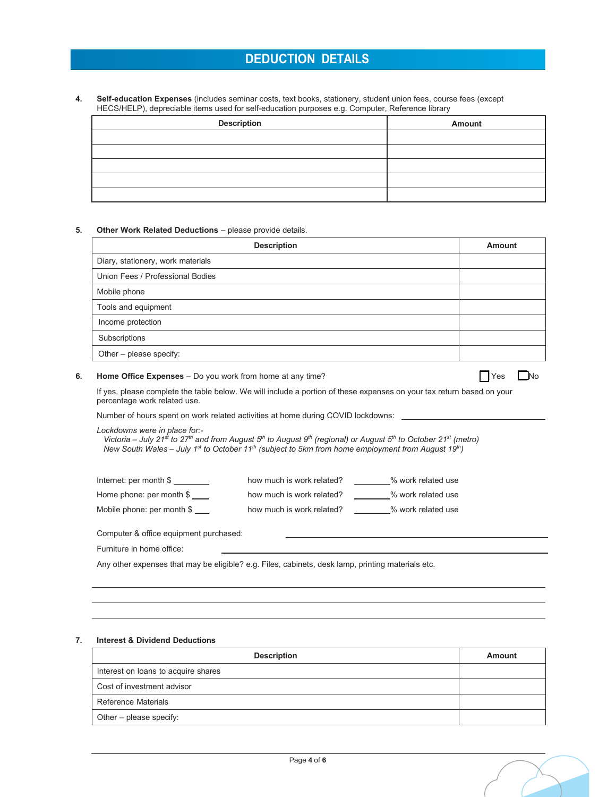## **DEDUCTION DETAILS**

**4. Self-education Expenses** (includes seminar costs, text books, stationery, student union fees, course fees (except HECS/HELP), depreciable items used for self-education purposes e.g. Computer, Reference library

| <b>Description</b> | Amount |
|--------------------|--------|
|                    |        |
|                    |        |
|                    |        |
|                    |        |
|                    |        |

#### **5. Other Work Related Deductions** – please provide details.

| <b>Description</b>                | <b>Amount</b> |
|-----------------------------------|---------------|
| Diary, stationery, work materials |               |
| Union Fees / Professional Bodies  |               |
| Mobile phone                      |               |
| Tools and equipment               |               |
| Income protection                 |               |
| Subscriptions                     |               |
| Other - please specify:           |               |

### **6.** Home Office Expenses – Do you work from home at any time?  $\Box$  Yes  $\Box$  Yes  $\Box$  No

| Y | İΝo |
|---|-----|
|   |     |

If yes, please complete the table below. We will include a portion of these expenses on your tax return based on your percentage work related use.

Number of hours spent on work related activities at home during COVID lockdowns:

*Lockdowns were in place for:-* 

 *Victoria – July 21st to 27th and from August 5th to August 9th (regional) or August 5th to October 21st (metro) New South Wales – July 1st to October 11th (subject to 5km from home employment from August 19th)* 

| Internet: per month \$     | how much is work related? | % work related use |
|----------------------------|---------------------------|--------------------|
| Home phone: per month \$   | how much is work related? | % work related use |
| Mobile phone: per month \$ | how much is work related? | % work related use |

Computer & office equipment purchased:

Furniture in home office:

Any other expenses that may be eligible? e.g. Files, cabinets, desk lamp, printing materials etc.

#### **7. Interest & Dividend Deductions**

| <b>Description</b>                  | Amount |
|-------------------------------------|--------|
| Interest on loans to acquire shares |        |
| Cost of investment advisor          |        |
| Reference Materials                 |        |
| Other – please specify:             |        |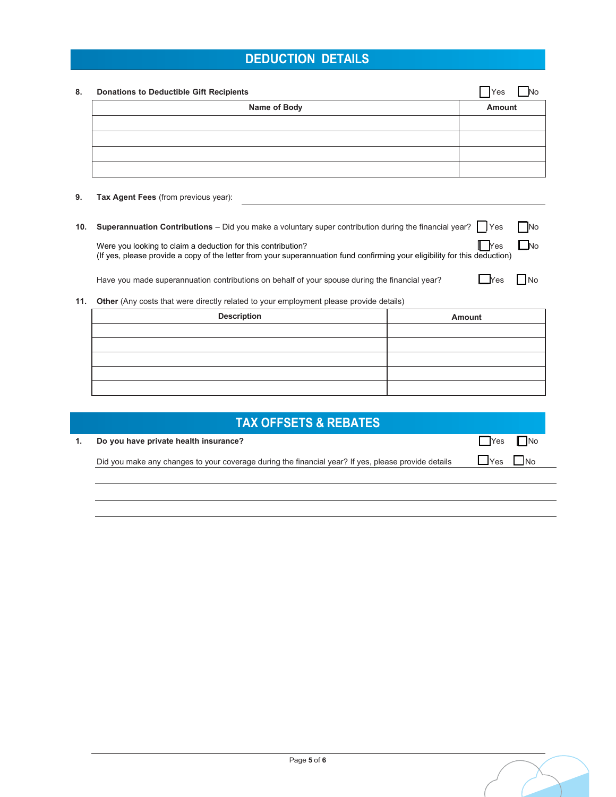# **DEDUCTION DETAILS**

| Name of Body | Amount |
|--------------|--------|
|              |        |
|              |        |
|              |        |
|              |        |

**10. Superannuation Contributions** – Did you make a voluntary super contribution during the financial year? **We** No

Were you looking to claim a deduction for this contribution?  $\blacksquare$  Yes  $\blacksquare$  No (If yes, please provide a copy of the letter from your superannuation fund confirming your eligibility for this deduction)

Have you made superannuation contributions on behalf of your spouse during the financial year?  $\Box$  Yes  $\Box$  No

| Yes |  | $\mathsf{In}$ |
|-----|--|---------------|

**11.** Other (Any costs that were directly related to your employment please provide details)

| <b>Description</b> | Amount |
|--------------------|--------|
|                    |        |
|                    |        |
|                    |        |
|                    |        |
|                    |        |

| Do you have private health insurance?                                                               | $\Box$ Yes $\Box$ No                                   |
|-----------------------------------------------------------------------------------------------------|--------------------------------------------------------|
| Did you make any changes to your coverage during the financial year? If yes, please provide details | $1$ $Y_{\text{es}}$ $1$<br>$\overline{\phantom{a}}$ No |